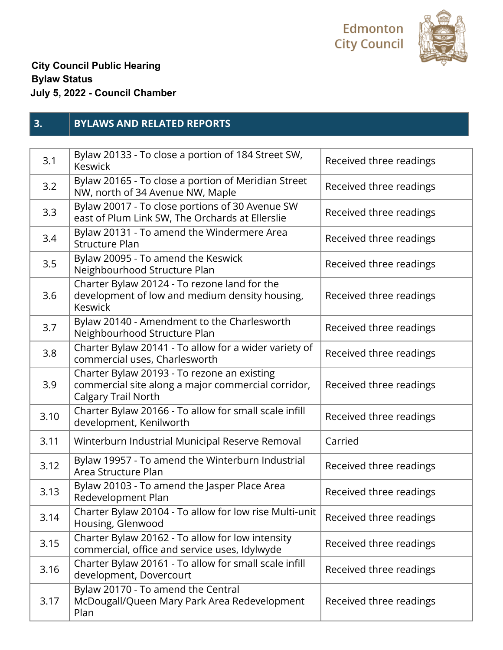



## **City Council Public Hearing Bylaw Status July 5, 2022 - Council Chamber**

## **3. BYLAWS AND RELATED REPORTS**

| 3.1  | Bylaw 20133 - To close a portion of 184 Street SW,<br><b>Keswick</b>                                                     | Received three readings |
|------|--------------------------------------------------------------------------------------------------------------------------|-------------------------|
| 3.2  | Bylaw 20165 - To close a portion of Meridian Street<br>NW, north of 34 Avenue NW, Maple                                  | Received three readings |
| 3.3  | Bylaw 20017 - To close portions of 30 Avenue SW<br>east of Plum Link SW, The Orchards at Ellerslie                       | Received three readings |
| 3.4  | Bylaw 20131 - To amend the Windermere Area<br><b>Structure Plan</b>                                                      | Received three readings |
| 3.5  | Bylaw 20095 - To amend the Keswick<br>Neighbourhood Structure Plan                                                       | Received three readings |
| 3.6  | Charter Bylaw 20124 - To rezone land for the<br>development of low and medium density housing,<br><b>Keswick</b>         | Received three readings |
| 3.7  | Bylaw 20140 - Amendment to the Charlesworth<br>Neighbourhood Structure Plan                                              | Received three readings |
| 3.8  | Charter Bylaw 20141 - To allow for a wider variety of<br>commercial uses, Charlesworth                                   | Received three readings |
| 3.9  | Charter Bylaw 20193 - To rezone an existing<br>commercial site along a major commercial corridor,<br>Calgary Trail North | Received three readings |
| 3.10 | Charter Bylaw 20166 - To allow for small scale infill<br>development, Kenilworth                                         | Received three readings |
| 3.11 | Winterburn Industrial Municipal Reserve Removal                                                                          | Carried                 |
| 3.12 | Bylaw 19957 - To amend the Winterburn Industrial<br>Area Structure Plan                                                  | Received three readings |
| 3.13 | Bylaw 20103 - To amend the Jasper Place Area<br>Redevelopment Plan                                                       | Received three readings |
| 3.14 | Charter Bylaw 20104 - To allow for low rise Multi-unit<br>Housing, Glenwood                                              | Received three readings |
| 3.15 | Charter Bylaw 20162 - To allow for low intensity<br>commercial, office and service uses, Idylwyde                        | Received three readings |
| 3.16 | Charter Bylaw 20161 - To allow for small scale infill<br>development, Dovercourt                                         | Received three readings |
| 3.17 | Bylaw 20170 - To amend the Central<br>McDougall/Queen Mary Park Area Redevelopment<br>Plan                               | Received three readings |